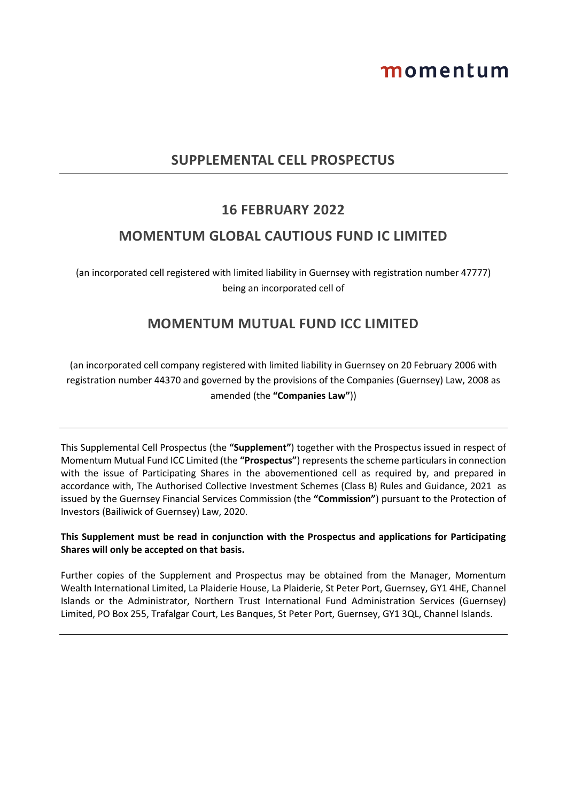# momentum

# **SUPPLEMENTAL CELL PROSPECTUS**

## **16 FEBRUARY 2022**

## **MOMENTUM GLOBAL CAUTIOUS FUND IC LIMITED**

(an incorporated cell registered with limited liability in Guernsey with registration number 47777) being an incorporated cell of

# **MOMENTUM MUTUAL FUND ICC LIMITED**

(an incorporated cell company registered with limited liability in Guernsey on 20 February 2006 with registration number 44370 and governed by the provisions of the Companies (Guernsey) Law, 2008 as amended (the **"Companies Law"**))

This Supplemental Cell Prospectus (the **"Supplement"**) together with the Prospectus issued in respect of Momentum Mutual Fund ICC Limited (the **"Prospectus"**) represents the scheme particulars in connection with the issue of Participating Shares in the abovementioned cell as required by, and prepared in accordance with, The Authorised Collective Investment Schemes (Class B) Rules and Guidance, 2021 as issued by the Guernsey Financial Services Commission (the **"Commission"**) pursuant to the Protection of Investors (Bailiwick of Guernsey) Law, 2020.

## **This Supplement must be read in conjunction with the Prospectus and applications for Participating Shares will only be accepted on that basis.**

Further copies of the Supplement and Prospectus may be obtained from the Manager, Momentum Wealth International Limited, La Plaiderie House, La Plaiderie, St Peter Port, Guernsey, GY1 4HE, Channel Islands or the Administrator, Northern Trust International Fund Administration Services (Guernsey) Limited, PO Box 255, Trafalgar Court, Les Banques, St Peter Port, Guernsey, GY1 3QL, Channel Islands.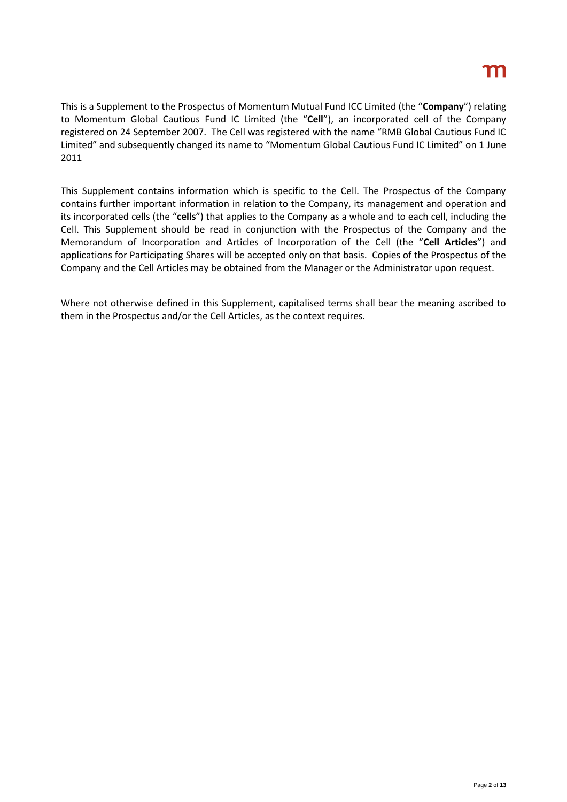This is a Supplement to the Prospectus of Momentum Mutual Fund ICC Limited (the "**Company**") relating to Momentum Global Cautious Fund IC Limited (the "**Cell**"), an incorporated cell of the Company registered on 24 September 2007. The Cell was registered with the name "RMB Global Cautious Fund IC Limited" and subsequently changed its name to "Momentum Global Cautious Fund IC Limited" on 1 June 2011

This Supplement contains information which is specific to the Cell. The Prospectus of the Company contains further important information in relation to the Company, its management and operation and its incorporated cells (the "**cells**") that applies to the Company as a whole and to each cell, including the Cell. This Supplement should be read in conjunction with the Prospectus of the Company and the Memorandum of Incorporation and Articles of Incorporation of the Cell (the "**Cell Articles**") and applications for Participating Shares will be accepted only on that basis. Copies of the Prospectus of the Company and the Cell Articles may be obtained from the Manager or the Administrator upon request.

Where not otherwise defined in this Supplement, capitalised terms shall bear the meaning ascribed to them in the Prospectus and/or the Cell Articles, as the context requires.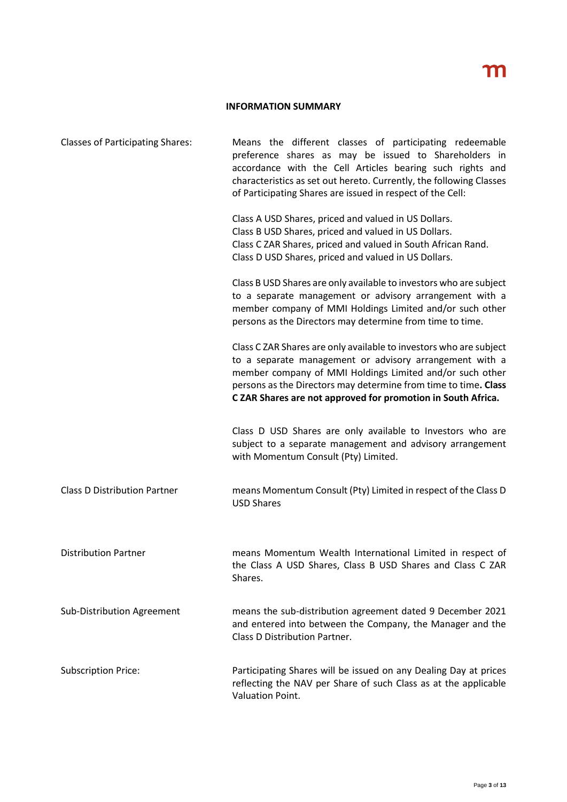#### **INFORMATION SUMMARY**

| <b>Classes of Participating Shares:</b> | Means the different classes of participating redeemable<br>preference shares as may be issued to Shareholders in<br>accordance with the Cell Articles bearing such rights and<br>characteristics as set out hereto. Currently, the following Classes<br>of Participating Shares are issued in respect of the Cell:           |
|-----------------------------------------|------------------------------------------------------------------------------------------------------------------------------------------------------------------------------------------------------------------------------------------------------------------------------------------------------------------------------|
|                                         | Class A USD Shares, priced and valued in US Dollars.<br>Class B USD Shares, priced and valued in US Dollars.<br>Class C ZAR Shares, priced and valued in South African Rand.<br>Class D USD Shares, priced and valued in US Dollars.                                                                                         |
|                                         | Class B USD Shares are only available to investors who are subject<br>to a separate management or advisory arrangement with a<br>member company of MMI Holdings Limited and/or such other<br>persons as the Directors may determine from time to time.                                                                       |
|                                         | Class C ZAR Shares are only available to investors who are subject<br>to a separate management or advisory arrangement with a<br>member company of MMI Holdings Limited and/or such other<br>persons as the Directors may determine from time to time. Class<br>C ZAR Shares are not approved for promotion in South Africa. |
|                                         | Class D USD Shares are only available to Investors who are<br>subject to a separate management and advisory arrangement<br>with Momentum Consult (Pty) Limited.                                                                                                                                                              |
| <b>Class D Distribution Partner</b>     | means Momentum Consult (Pty) Limited in respect of the Class D<br><b>USD Shares</b>                                                                                                                                                                                                                                          |
| <b>Distribution Partner</b>             | means Momentum Wealth International Limited in respect of<br>the Class A USD Shares, Class B USD Shares and Class C ZAR<br>Shares.                                                                                                                                                                                           |
| Sub-Distribution Agreement              | means the sub-distribution agreement dated 9 December 2021<br>and entered into between the Company, the Manager and the<br>Class D Distribution Partner.                                                                                                                                                                     |
| <b>Subscription Price:</b>              | Participating Shares will be issued on any Dealing Day at prices<br>reflecting the NAV per Share of such Class as at the applicable<br>Valuation Point.                                                                                                                                                                      |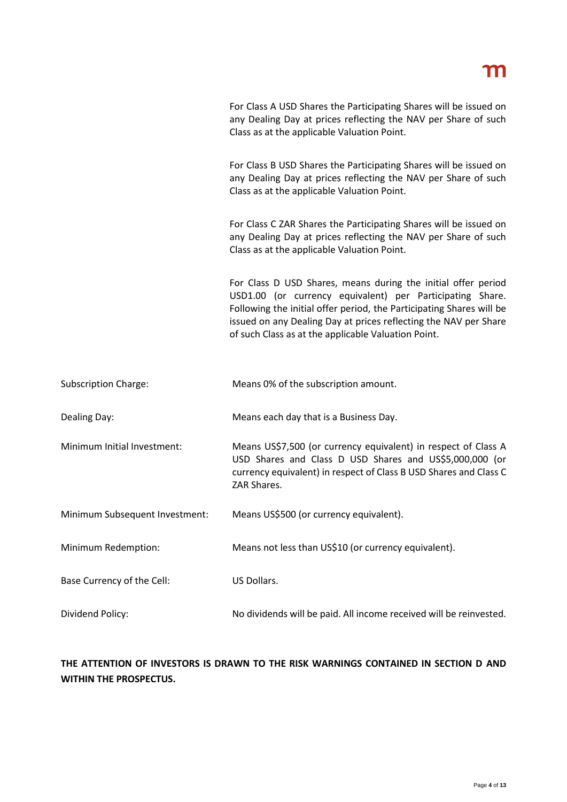For Class A USD Shares the Participating Shares will be issued on any Dealing Day at prices reflecting the NAV per Share of such Class as at the applicable Valuation Point.

For Class B USD Shares the Participating Shares will be issued on any Dealing Day at prices reflecting the NAV per Share of such Class as at the applicable Valuation Point.

For Class C ZAR Shares the Participating Shares will be issued on any Dealing Day at prices reflecting the NAV per Share of such Class as at the applicable Valuation Point.

For Class D USD Shares, means during the initial offer period USD1.00 (or currency equivalent) per Participating Share. Following the initial offer period, the Participating Shares will be issued on any Dealing Day at prices reflecting the NAV per Share of such Class as at the applicable Valuation Point.

| Means 0% of the subscription amount. |
|--------------------------------------|
|                                      |

Dealing Day: Means each day that is a Business Day.

Minimum Initial Investment: Means US\$7,500 (or currency equivalent) in respect of Class A USD Shares and Class D USD Shares and US\$5,000,000 (or currency equivalent) in respect of Class B USD Shares and Class C ZAR Shares.

Minimum Subsequent Investment: Means US\$500 (or currency equivalent).

Minimum Redemption: Means not less than US\$10 (or currency equivalent).

Base Currency of the Cell: US Dollars.

Dividend Policy: No dividends will be paid. All income received will be reinvested.

## **THE ATTENTION OF INVESTORS IS DRAWN TO THE RISK WARNINGS CONTAINED IN SECTION D AND WITHIN THE PROSPECTUS.**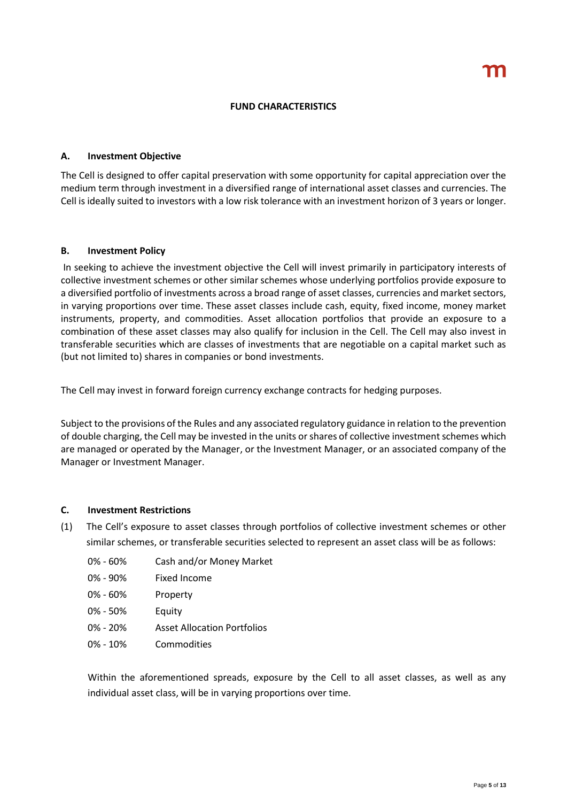#### **FUND CHARACTERISTICS**

#### **A. Investment Objective**

The Cell is designed to offer capital preservation with some opportunity for capital appreciation over the medium term through investment in a diversified range of international asset classes and currencies. The Cell is ideally suited to investors with a low risk tolerance with an investment horizon of 3 years or longer.

## **B. Investment Policy**

In seeking to achieve the investment objective the Cell will invest primarily in participatory interests of collective investment schemes or other similar schemes whose underlying portfolios provide exposure to a diversified portfolio of investments across a broad range of asset classes, currencies and market sectors, in varying proportions over time. These asset classes include cash, equity, fixed income, money market instruments, property, and commodities. Asset allocation portfolios that provide an exposure to a combination of these asset classes may also qualify for inclusion in the Cell. The Cell may also invest in transferable securities which are classes of investments that are negotiable on a capital market such as (but not limited to) shares in companies or bond investments.

The Cell may invest in forward foreign currency exchange contracts for hedging purposes.

Subject to the provisions of the Rules and any associated regulatory guidance in relation to the prevention of double charging, the Cell may be invested in the units or shares of collective investment schemes which are managed or operated by the Manager, or the Investment Manager, or an associated company of the Manager or Investment Manager.

#### **C. Investment Restrictions**

- (1) The Cell's exposure to asset classes through portfolios of collective investment schemes or other similar schemes, or transferable securities selected to represent an asset class will be as follows:
	- 0% 60% Cash and/or Money Market
	- 0% 90% Fixed Income
	- 0% 60% Property
	- 0% 50% Equity
	- 0% 20% Asset Allocation Portfolios
	- 0% 10% Commodities

Within the aforementioned spreads, exposure by the Cell to all asset classes, as well as any individual asset class, will be in varying proportions over time.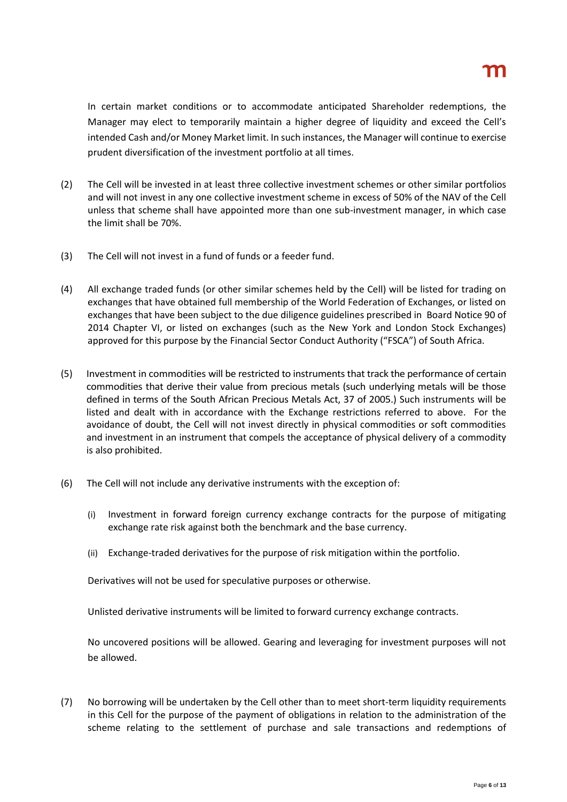# m

In certain market conditions or to accommodate anticipated Shareholder redemptions, the Manager may elect to temporarily maintain a higher degree of liquidity and exceed the Cell's intended Cash and/or Money Market limit. In such instances, the Manager will continue to exercise prudent diversification of the investment portfolio at all times.

- (2) The Cell will be invested in at least three collective investment schemes or other similar portfolios and will not invest in any one collective investment scheme in excess of 50% of the NAV of the Cell unless that scheme shall have appointed more than one sub-investment manager, in which case the limit shall be 70%.
- (3) The Cell will not invest in a fund of funds or a feeder fund.
- (4) All exchange traded funds (or other similar schemes held by the Cell) will be listed for trading on exchanges that have obtained full membership of the World Federation of Exchanges, or listed on exchanges that have been subject to the due diligence guidelines prescribed in Board Notice 90 of 2014 Chapter VI, or listed on exchanges (such as the New York and London Stock Exchanges) approved for this purpose by the Financial Sector Conduct Authority ("FSCA") of South Africa.
- (5) Investment in commodities will be restricted to instruments that track the performance of certain commodities that derive their value from precious metals (such underlying metals will be those defined in terms of the South African Precious Metals Act, 37 of 2005.) Such instruments will be listed and dealt with in accordance with the Exchange restrictions referred to above. For the avoidance of doubt, the Cell will not invest directly in physical commodities or soft commodities and investment in an instrument that compels the acceptance of physical delivery of a commodity is also prohibited.
- (6) The Cell will not include any derivative instruments with the exception of:
	- (i) Investment in forward foreign currency exchange contracts for the purpose of mitigating exchange rate risk against both the benchmark and the base currency.
	- (ii) Exchange-traded derivatives for the purpose of risk mitigation within the portfolio.

Derivatives will not be used for speculative purposes or otherwise.

Unlisted derivative instruments will be limited to forward currency exchange contracts.

No uncovered positions will be allowed. Gearing and leveraging for investment purposes will not be allowed.

(7) No borrowing will be undertaken by the Cell other than to meet short-term liquidity requirements in this Cell for the purpose of the payment of obligations in relation to the administration of the scheme relating to the settlement of purchase and sale transactions and redemptions of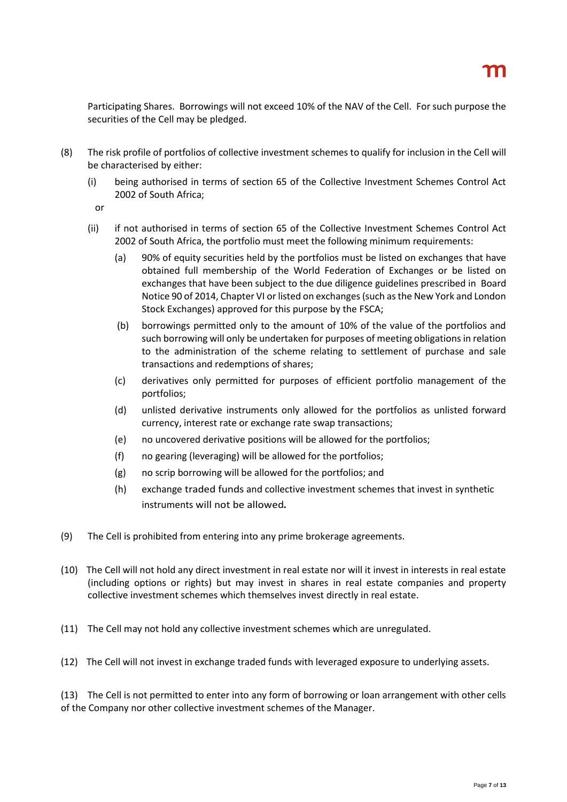Participating Shares. Borrowings will not exceed 10% of the NAV of the Cell. For such purpose the securities of the Cell may be pledged.

- (8) The risk profile of portfolios of collective investment schemes to qualify for inclusion in the Cell will be characterised by either:
	- (i) being authorised in terms of section 65 of the Collective Investment Schemes Control Act 2002 of South Africa;
		- or
	- (ii) if not authorised in terms of section 65 of the Collective Investment Schemes Control Act 2002 of South Africa, the portfolio must meet the following minimum requirements:
		- (a) 90% of equity securities held by the portfolios must be listed on exchanges that have obtained full membership of the World Federation of Exchanges or be listed on exchanges that have been subject to the due diligence guidelines prescribed in Board Notice 90 of 2014, Chapter VI or listed on exchanges (such as the New York and London Stock Exchanges) approved for this purpose by the FSCA;
		- (b) borrowings permitted only to the amount of 10% of the value of the portfolios and such borrowing will only be undertaken for purposes of meeting obligations in relation to the administration of the scheme relating to settlement of purchase and sale transactions and redemptions of shares;
		- (c) derivatives only permitted for purposes of efficient portfolio management of the portfolios;
		- (d) unlisted derivative instruments only allowed for the portfolios as unlisted forward currency, interest rate or exchange rate swap transactions;
		- (e) no uncovered derivative positions will be allowed for the portfolios;
		- (f) no gearing (leveraging) will be allowed for the portfolios;
		- (g) no scrip borrowing will be allowed for the portfolios; and
		- (h) exchange traded funds and collective investment schemes that invest in synthetic instruments will not be allowed*.*
- (9) The Cell is prohibited from entering into any prime brokerage agreements.
- (10) The Cell will not hold any direct investment in real estate nor will it invest in interests in real estate (including options or rights) but may invest in shares in real estate companies and property collective investment schemes which themselves invest directly in real estate.
- (11) The Cell may not hold any collective investment schemes which are unregulated.
- (12) The Cell will not invest in exchange traded funds with leveraged exposure to underlying assets.

(13) The Cell is not permitted to enter into any form of borrowing or loan arrangement with other cells of the Company nor other collective investment schemes of the Manager.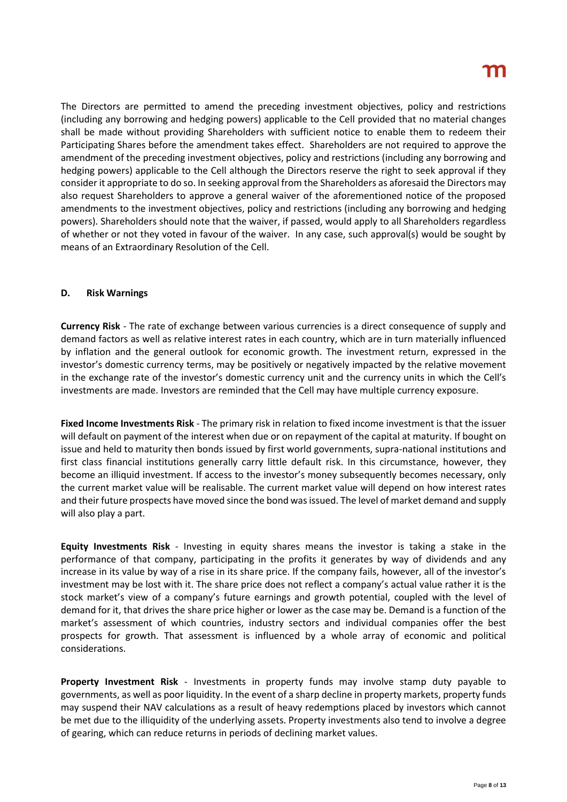The Directors are permitted to amend the preceding investment objectives, policy and restrictions (including any borrowing and hedging powers) applicable to the Cell provided that no material changes shall be made without providing Shareholders with sufficient notice to enable them to redeem their Participating Shares before the amendment takes effect. Shareholders are not required to approve the amendment of the preceding investment objectives, policy and restrictions (including any borrowing and hedging powers) applicable to the Cell although the Directors reserve the right to seek approval if they consider it appropriate to do so. In seeking approval from the Shareholders as aforesaid the Directors may also request Shareholders to approve a general waiver of the aforementioned notice of the proposed amendments to the investment objectives, policy and restrictions (including any borrowing and hedging powers). Shareholders should note that the waiver, if passed, would apply to all Shareholders regardless of whether or not they voted in favour of the waiver. In any case, such approval(s) would be sought by means of an Extraordinary Resolution of the Cell.

## **D. Risk Warnings**

**Currency Risk** - The rate of exchange between various currencies is a direct consequence of supply and demand factors as well as relative interest rates in each country, which are in turn materially influenced by inflation and the general outlook for economic growth. The investment return, expressed in the investor's domestic currency terms, may be positively or negatively impacted by the relative movement in the exchange rate of the investor's domestic currency unit and the currency units in which the Cell's investments are made. Investors are reminded that the Cell may have multiple currency exposure.

**Fixed Income Investments Risk** - The primary risk in relation to fixed income investment is that the issuer will default on payment of the interest when due or on repayment of the capital at maturity. If bought on issue and held to maturity then bonds issued by first world governments, supra-national institutions and first class financial institutions generally carry little default risk. In this circumstance, however, they become an illiquid investment. If access to the investor's money subsequently becomes necessary, only the current market value will be realisable. The current market value will depend on how interest rates and their future prospects have moved since the bond was issued. The level of market demand and supply will also play a part.

**Equity Investments Risk** - Investing in equity shares means the investor is taking a stake in the performance of that company, participating in the profits it generates by way of dividends and any increase in its value by way of a rise in its share price. If the company fails, however, all of the investor's investment may be lost with it. The share price does not reflect a company's actual value rather it is the stock market's view of a company's future earnings and growth potential, coupled with the level of demand for it, that drives the share price higher or lower as the case may be. Demand is a function of the market's assessment of which countries, industry sectors and individual companies offer the best prospects for growth. That assessment is influenced by a whole array of economic and political considerations.

**Property Investment Risk** - Investments in property funds may involve stamp duty payable to governments, as well as poor liquidity. In the event of a sharp decline in property markets, property funds may suspend their NAV calculations as a result of heavy redemptions placed by investors which cannot be met due to the illiquidity of the underlying assets. Property investments also tend to involve a degree of gearing, which can reduce returns in periods of declining market values.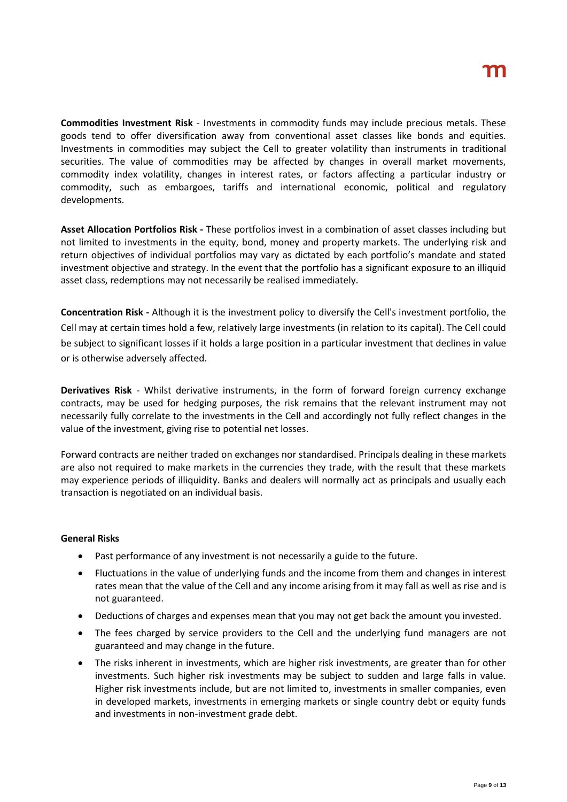**Commodities Investment Risk** - Investments in commodity funds may include precious metals. These goods tend to offer diversification away from conventional asset classes like bonds and equities. Investments in commodities may subject the Cell to greater volatility than instruments in traditional securities. The value of commodities may be affected by changes in overall market movements, commodity index volatility, changes in interest rates, or factors affecting a particular industry or commodity, such as embargoes, tariffs and international economic, political and regulatory developments.

**Asset Allocation Portfolios Risk -** These portfolios invest in a combination of asset classes including but not limited to investments in the equity, bond, money and property markets. The underlying risk and return objectives of individual portfolios may vary as dictated by each portfolio's mandate and stated investment objective and strategy. In the event that the portfolio has a significant exposure to an illiquid asset class, redemptions may not necessarily be realised immediately.

**Concentration Risk -** Although it is the investment policy to diversify the Cell's investment portfolio, the Cell may at certain times hold a few, relatively large investments (in relation to its capital). The Cell could be subject to significant losses if it holds a large position in a particular investment that declines in value or is otherwise adversely affected.

**Derivatives Risk** - Whilst derivative instruments, in the form of forward foreign currency exchange contracts, may be used for hedging purposes, the risk remains that the relevant instrument may not necessarily fully correlate to the investments in the Cell and accordingly not fully reflect changes in the value of the investment, giving rise to potential net losses.

Forward contracts are neither traded on exchanges nor standardised. Principals dealing in these markets are also not required to make markets in the currencies they trade, with the result that these markets may experience periods of illiquidity. Banks and dealers will normally act as principals and usually each transaction is negotiated on an individual basis.

#### **General Risks**

- Past performance of any investment is not necessarily a guide to the future.
- Fluctuations in the value of underlying funds and the income from them and changes in interest rates mean that the value of the Cell and any income arising from it may fall as well as rise and is not guaranteed.
- Deductions of charges and expenses mean that you may not get back the amount you invested.
- The fees charged by service providers to the Cell and the underlying fund managers are not guaranteed and may change in the future.
- The risks inherent in investments, which are higher risk investments, are greater than for other investments. Such higher risk investments may be subject to sudden and large falls in value. Higher risk investments include, but are not limited to, investments in smaller companies, even in developed markets, investments in emerging markets or single country debt or equity funds and investments in non-investment grade debt.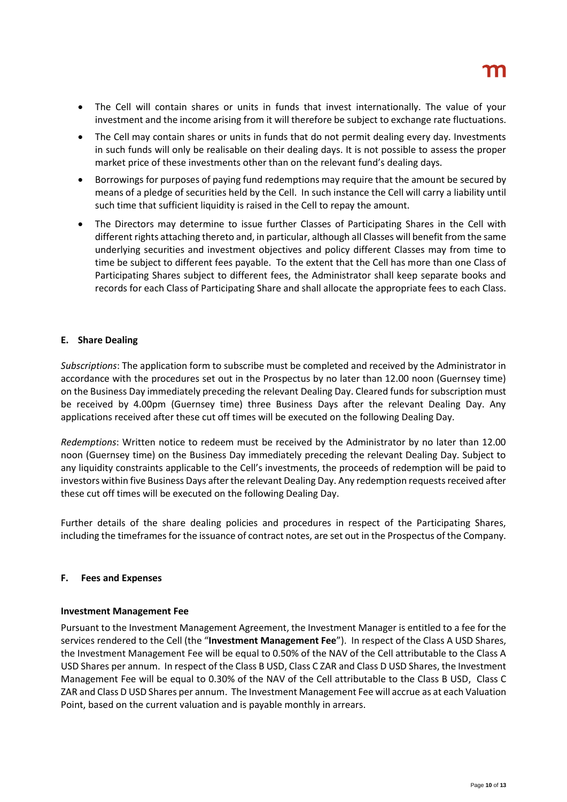- The Cell will contain shares or units in funds that invest internationally. The value of your investment and the income arising from it will therefore be subject to exchange rate fluctuations.
- The Cell may contain shares or units in funds that do not permit dealing every day. Investments in such funds will only be realisable on their dealing days. It is not possible to assess the proper market price of these investments other than on the relevant fund's dealing days.
- Borrowings for purposes of paying fund redemptions may require that the amount be secured by means of a pledge of securities held by the Cell. In such instance the Cell will carry a liability until such time that sufficient liquidity is raised in the Cell to repay the amount.
- The Directors may determine to issue further Classes of Participating Shares in the Cell with different rights attaching thereto and, in particular, although all Classes will benefit from the same underlying securities and investment objectives and policy different Classes may from time to time be subject to different fees payable. To the extent that the Cell has more than one Class of Participating Shares subject to different fees, the Administrator shall keep separate books and records for each Class of Participating Share and shall allocate the appropriate fees to each Class.

## **E. Share Dealing**

*Subscriptions*: The application form to subscribe must be completed and received by the Administrator in accordance with the procedures set out in the Prospectus by no later than 12.00 noon (Guernsey time) on the Business Day immediately preceding the relevant Dealing Day. Cleared funds for subscription must be received by 4.00pm (Guernsey time) three Business Days after the relevant Dealing Day. Any applications received after these cut off times will be executed on the following Dealing Day.

*Redemptions*: Written notice to redeem must be received by the Administrator by no later than 12.00 noon (Guernsey time) on the Business Day immediately preceding the relevant Dealing Day. Subject to any liquidity constraints applicable to the Cell's investments, the proceeds of redemption will be paid to investors within five Business Days after the relevant Dealing Day. Any redemption requests received after these cut off times will be executed on the following Dealing Day.

Further details of the share dealing policies and procedures in respect of the Participating Shares, including the timeframes for the issuance of contract notes, are set out in the Prospectus of the Company.

#### **F. Fees and Expenses**

#### **Investment Management Fee**

Pursuant to the Investment Management Agreement, the Investment Manager is entitled to a fee for the services rendered to the Cell (the "**Investment Management Fee**"). In respect of the Class A USD Shares, the Investment Management Fee will be equal to 0.50% of the NAV of the Cell attributable to the Class A USD Shares per annum. In respect of the Class B USD, Class C ZAR and Class D USD Shares, the Investment Management Fee will be equal to 0.30% of the NAV of the Cell attributable to the Class B USD, Class C ZAR and Class D USD Shares per annum. The Investment Management Fee will accrue as at each Valuation Point, based on the current valuation and is payable monthly in arrears.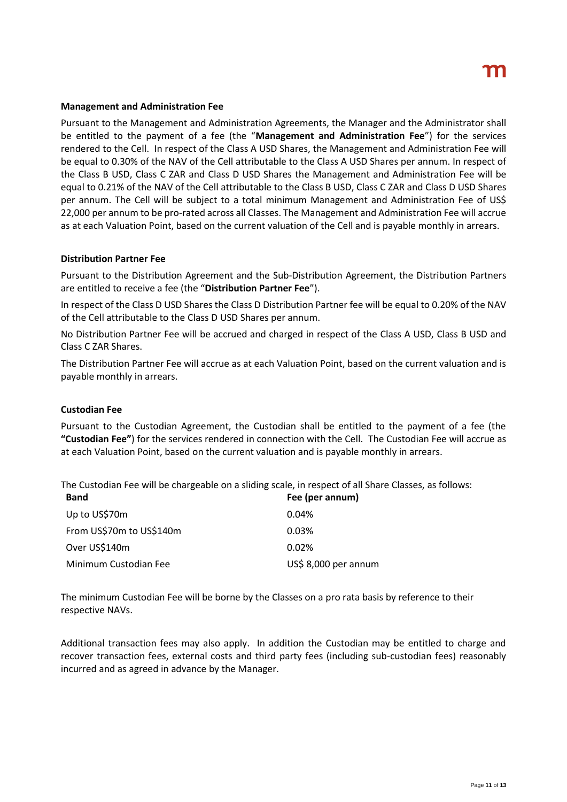#### **Management and Administration Fee**

Pursuant to the Management and Administration Agreements, the Manager and the Administrator shall be entitled to the payment of a fee (the "**Management and Administration Fee**") for the services rendered to the Cell. In respect of the Class A USD Shares, the Management and Administration Fee will be equal to 0.30% of the NAV of the Cell attributable to the Class A USD Shares per annum. In respect of the Class B USD, Class C ZAR and Class D USD Shares the Management and Administration Fee will be equal to 0.21% of the NAV of the Cell attributable to the Class B USD, Class C ZAR and Class D USD Shares per annum. The Cell will be subject to a total minimum Management and Administration Fee of US\$ 22,000 per annum to be pro-rated across all Classes. The Management and Administration Fee will accrue as at each Valuation Point, based on the current valuation of the Cell and is payable monthly in arrears.

#### **Distribution Partner Fee**

Pursuant to the Distribution Agreement and the Sub-Distribution Agreement, the Distribution Partners are entitled to receive a fee (the "**Distribution Partner Fee**").

In respect of the Class D USD Shares the Class D Distribution Partner fee will be equal to 0.20% of the NAV of the Cell attributable to the Class D USD Shares per annum.

No Distribution Partner Fee will be accrued and charged in respect of the Class A USD, Class B USD and Class C ZAR Shares.

The Distribution Partner Fee will accrue as at each Valuation Point, based on the current valuation and is payable monthly in arrears.

#### **Custodian Fee**

Pursuant to the Custodian Agreement, the Custodian shall be entitled to the payment of a fee (the **"Custodian Fee"**) for the services rendered in connection with the Cell. The Custodian Fee will accrue as at each Valuation Point, based on the current valuation and is payable monthly in arrears.

The Custodian Fee will be chargeable on a sliding scale, in respect of all Share Classes, as follows:

| <b>Band</b>              | Fee (per annum)      |
|--------------------------|----------------------|
| Up to US\$70m            | 0.04%                |
| From US\$70m to US\$140m | 0.03%                |
| Over US\$140m            | 0.02%                |
| Minimum Custodian Fee    | US\$ 8,000 per annum |

The minimum Custodian Fee will be borne by the Classes on a pro rata basis by reference to their respective NAVs.

Additional transaction fees may also apply. In addition the Custodian may be entitled to charge and recover transaction fees, external costs and third party fees (including sub-custodian fees) reasonably incurred and as agreed in advance by the Manager.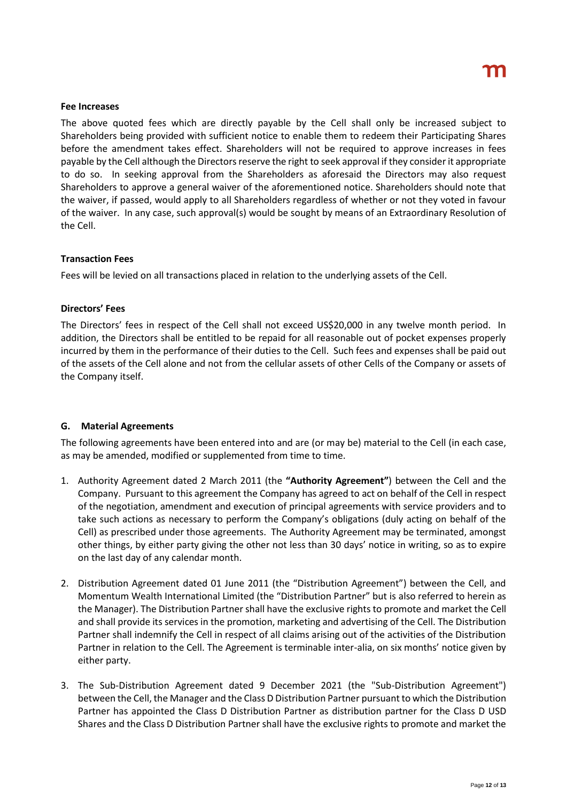#### **Fee Increases**

The above quoted fees which are directly payable by the Cell shall only be increased subject to Shareholders being provided with sufficient notice to enable them to redeem their Participating Shares before the amendment takes effect. Shareholders will not be required to approve increases in fees payable by the Cell although the Directors reserve the right to seek approval if they consider it appropriate to do so. In seeking approval from the Shareholders as aforesaid the Directors may also request Shareholders to approve a general waiver of the aforementioned notice. Shareholders should note that the waiver, if passed, would apply to all Shareholders regardless of whether or not they voted in favour of the waiver. In any case, such approval(s) would be sought by means of an Extraordinary Resolution of the Cell.

#### **Transaction Fees**

Fees will be levied on all transactions placed in relation to the underlying assets of the Cell.

#### **Directors' Fees**

The Directors' fees in respect of the Cell shall not exceed US\$20,000 in any twelve month period. In addition, the Directors shall be entitled to be repaid for all reasonable out of pocket expenses properly incurred by them in the performance of their duties to the Cell. Such fees and expenses shall be paid out of the assets of the Cell alone and not from the cellular assets of other Cells of the Company or assets of the Company itself.

#### **G. Material Agreements**

The following agreements have been entered into and are (or may be) material to the Cell (in each case, as may be amended, modified or supplemented from time to time.

- 1. Authority Agreement dated 2 March 2011 (the **"Authority Agreement"**) between the Cell and the Company. Pursuant to this agreement the Company has agreed to act on behalf of the Cell in respect of the negotiation, amendment and execution of principal agreements with service providers and to take such actions as necessary to perform the Company's obligations (duly acting on behalf of the Cell) as prescribed under those agreements. The Authority Agreement may be terminated, amongst other things, by either party giving the other not less than 30 days' notice in writing, so as to expire on the last day of any calendar month.
- 2. Distribution Agreement dated 01 June 2011 (the "Distribution Agreement") between the Cell, and Momentum Wealth International Limited (the "Distribution Partner" but is also referred to herein as the Manager). The Distribution Partner shall have the exclusive rights to promote and market the Cell and shall provide its services in the promotion, marketing and advertising of the Cell. The Distribution Partner shall indemnify the Cell in respect of all claims arising out of the activities of the Distribution Partner in relation to the Cell. The Agreement is terminable inter-alia, on six months' notice given by either party.
- 3. The Sub-Distribution Agreement dated 9 December 2021 (the "Sub-Distribution Agreement") between the Cell, the Manager and the Class D Distribution Partner pursuant to which the Distribution Partner has appointed the Class D Distribution Partner as distribution partner for the Class D USD Shares and the Class D Distribution Partner shall have the exclusive rights to promote and market the